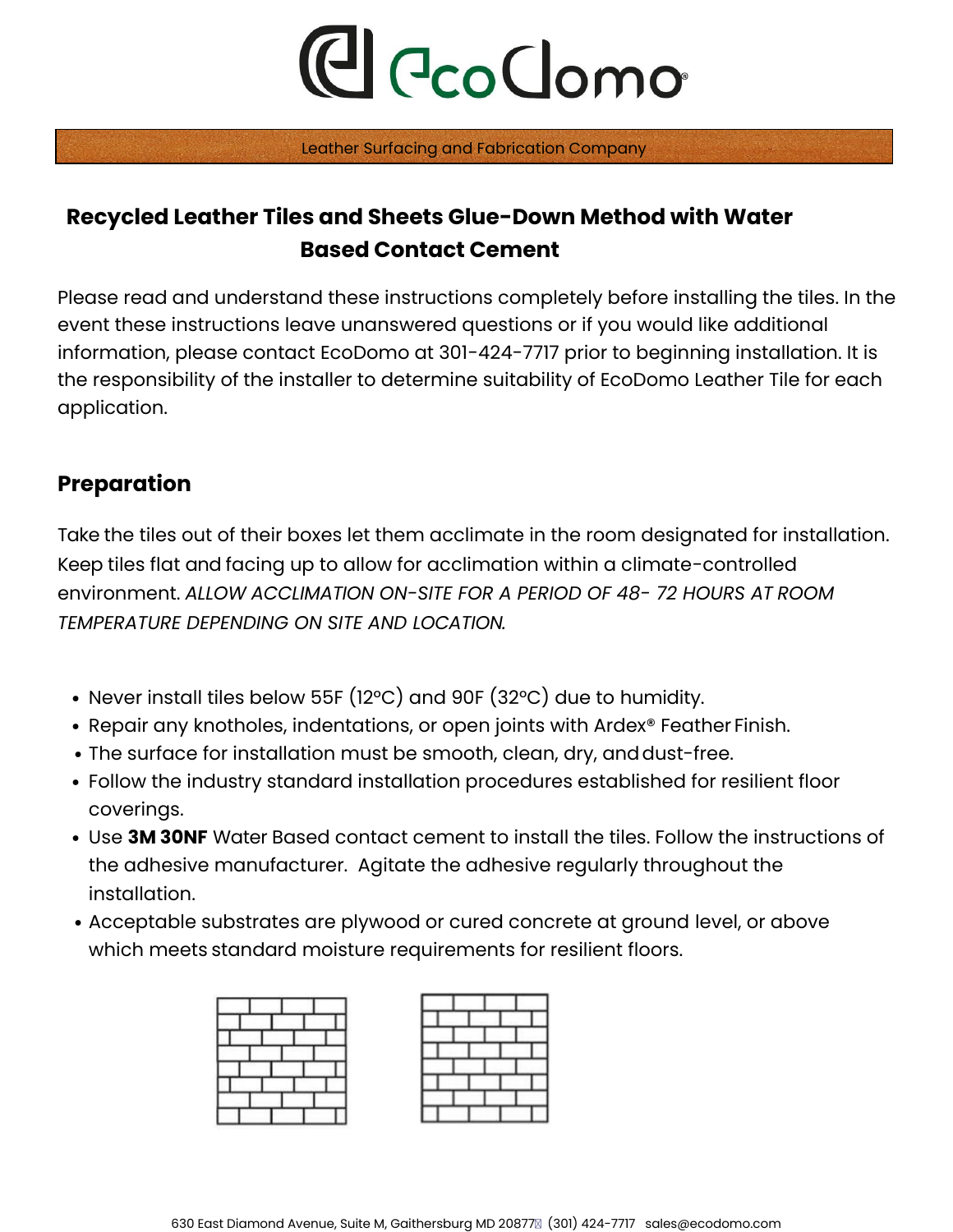Leather Surfacing and Fabrication Company

## **Recycled Leather Tiles and Sheets Glue-Down Method with Water Based Contact Cement**

Please read and understand these instructions completely before installing the tiles. In the event these instructions leave unanswered questions or if you would like additional information, please contact EcoDomo at 301-424-7717 prior to beginning installation. It is the responsibility of the installer to determine suitability of EcoDomo Leather Tile for each application.

#### **Preparation**

Take the tiles out of their boxes let them acclimate in the room designated for installation. Keep tiles flat and facing up to allow for acclimation within a climate-controlled environment. *ALLOW ACCLIMATION ON-SITE FOR A PERIOD OF 48- 72 HOURS AT ROOM TEMPERATURE DEPENDING ON SITE AND LOCATION.*

- Never install tiles below 55F (12°C) and 90F (32°C) due to humidity.
- Repair any knotholes, indentations, or open joints with Ardex® Feather Finish.
- The surface for installation must be smooth, clean, dry, and dust-free.
- Follow the industry standard installation procedures established for resilient floor coverings.
- Use **3M 30NF** Water Based contact cement to install the tiles. Follow the instructions of the adhesive manufacturer. Agitate the adhesive regularly throughout the installation.
- Acceptable substrates are plywood or cured concrete at ground level, or above which meets standard moisture requirements for resilient floors.



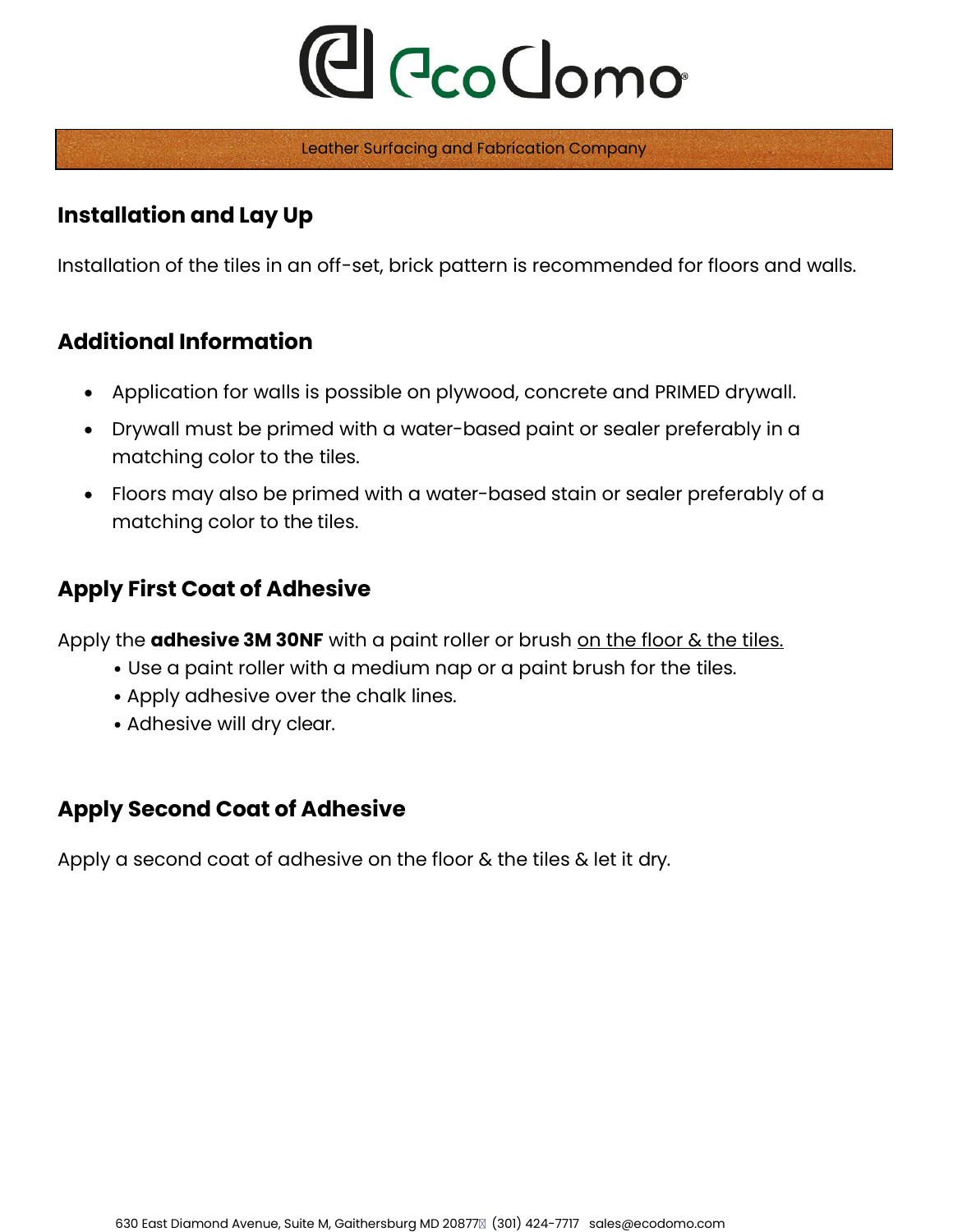Leather Surfacing and Fabrication Company

#### **Installation and Lay Up**

Installation of the tiles in an off-set, brick pattern is recommended for floors and walls.

#### **Additional Information**

- Application for walls is possible on plywood, concrete and PRIMED drywall.
- Drywall must be primed with a water-based paint or sealer preferably in a matching color to the tiles.
- Floors may also be primed with a water-based stain or sealer preferably of a matching color to the tiles.

### **Apply First Coat of Adhesive**

Apply the **adhesive 3M 30NF** with a paint roller or brush on the floor & the tiles.

- Use a paint roller with a medium nap or a paint brush for the tiles.
- Apply adhesive over the chalk lines.
- Adhesive will dry clear.

#### **Apply Second Coat of Adhesive**

Apply a second coat of adhesive on the floor & the tiles & let it dry.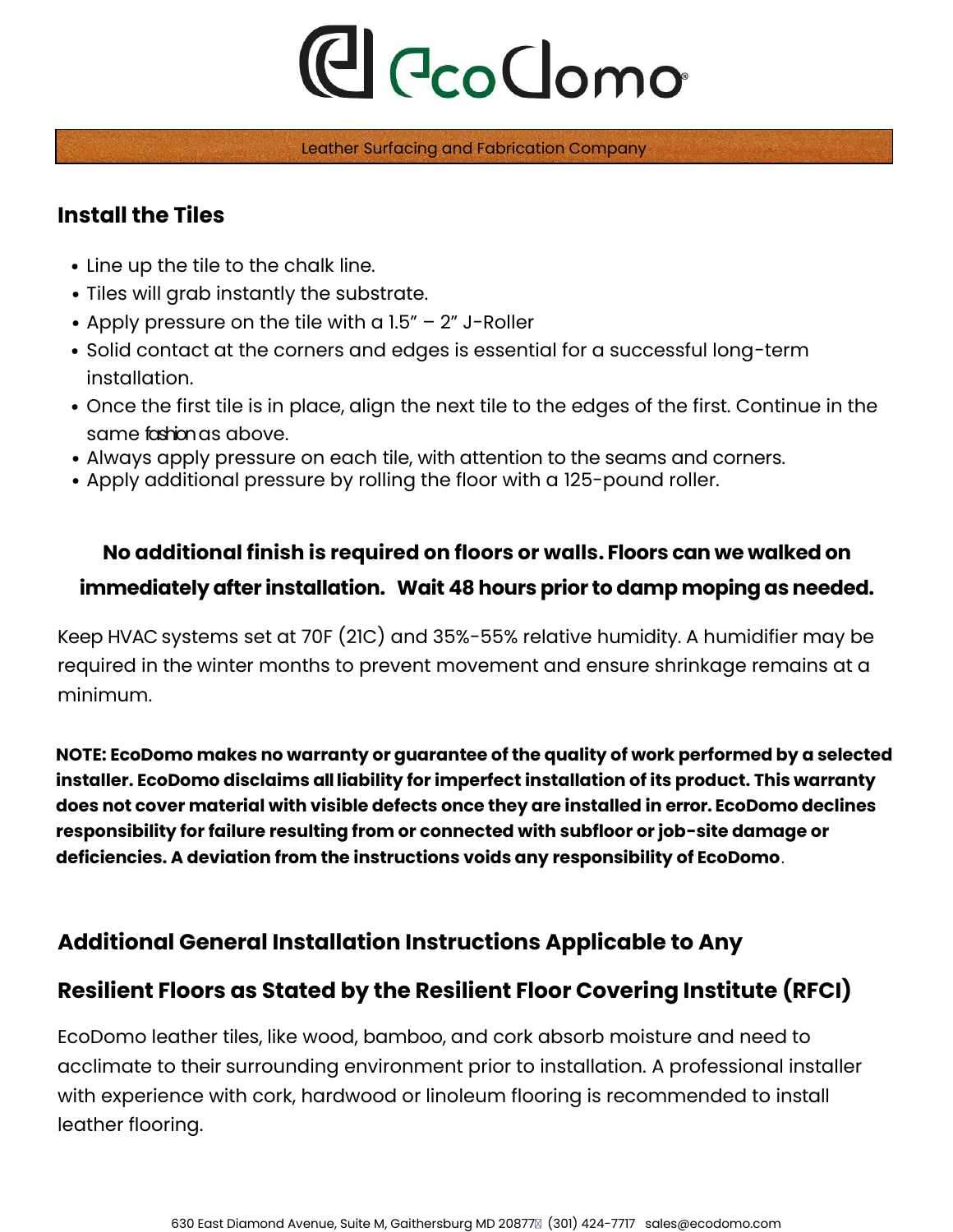Leather Surfacing and Fabrication Company

#### **Install the Tiles**

- Line up the tile to the chalk line.
- Tiles will grab instantly the substrate.
- Apply pressure on the tile with a 1.5" 2" J-Roller
- Solid contact at the corners and edges is essential for a successful long-term installation.
- Once the first tile is in place, align the next tile to the edges of the first. Continue in the same fashionas above.
- Always apply pressure on each tile, with attention to the seams and corners.
- Apply additional pressure by rolling the floor with a 125-pound roller.

### **No additional finish is required on floors or walls. Floors can we walked on immediately after installation. Wait 48 hours prior to damp moping as needed.**

Keep HVAC systems set at 70F (21C) and 35%-55% relative humidity. A humidifier may be required in the winter months to prevent movement and ensure shrinkage remains at a minimum.

**NOTE: EcoDomo makes no warranty or guarantee of the quality of work performed by a selected installer. EcoDomo disclaims all liability for imperfect installation of its product. This warranty does not cover material with visible defects once they are installed in error. EcoDomo declines responsibility for failure resulting from or connected with subfloor or job-site damage or deficiencies. A deviation from the instructions voids any responsibility of EcoDomo**.

### **Additional General Installation Instructions Applicable to Any**

### **Resilient Floors as Stated by the Resilient Floor Covering Institute (RFCI)**

EcoDomo leather tiles, like wood, bamboo, and cork absorb moisture and need to acclimate to their surrounding environment prior to installation. A professional installer with experience with cork, hardwood or linoleum flooring is recommended to install leather flooring.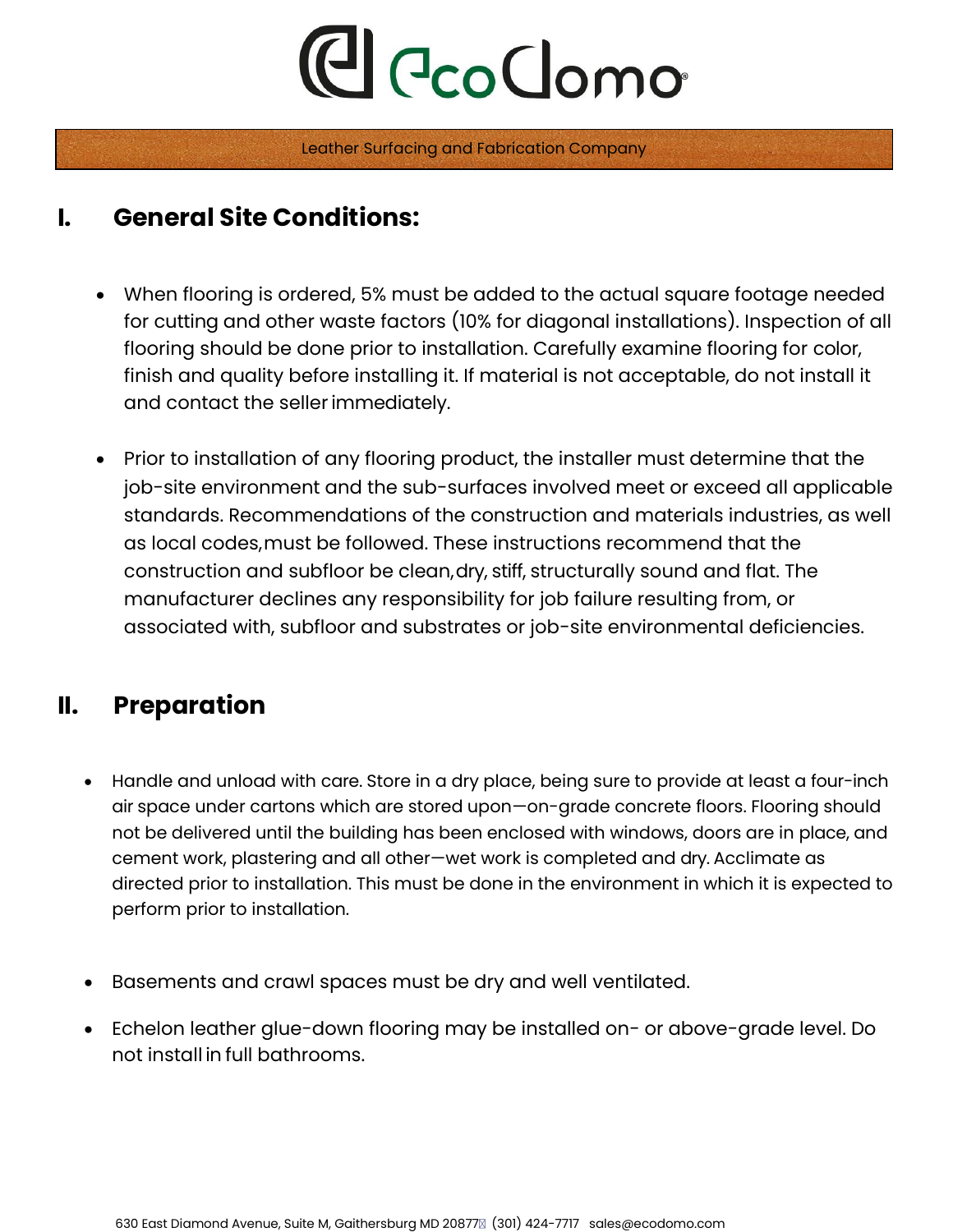Leather Surfacing and Fabrication Company

## **I. General Site Conditions:**

- When flooring is ordered, 5% must be added to the actual square footage needed for cutting and other waste factors (10% for diagonal installations). Inspection of all flooring should be done prior to installation. Carefully examine flooring for color, finish and quality before installing it. If material is not acceptable, do not install it and contact the sellerimmediately.
- Prior to installation of any flooring product, the installer must determine that the job-site environment and the sub-surfaces involved meet or exceed all applicable standards. Recommendations of the construction and materials industries, as well as local codes,must be followed. These instructions recommend that the construction and subfloor be clean,dry, stiff, structurally sound and flat. The manufacturer declines any responsibility for job failure resulting from, or associated with, subfloor and substrates or job-site environmental deficiencies.

## **II. Preparation**

- Handle and unload with care. Store in a dry place, being sure to provide at least a four-inch air space under cartons which are stored upon—on-grade concrete floors. Flooring should not be delivered until the building has been enclosed with windows, doors are in place, and cement work, plastering and all other—wet work is completed and dry. Acclimate as directed prior to installation. This must be done in the environment in which it is expected to perform prior to installation.
- Basements and crawl spaces must be dry and well ventilated.
- Echelon leather glue-down flooring may be installed on- or above-grade level. Do not install in full bathrooms.